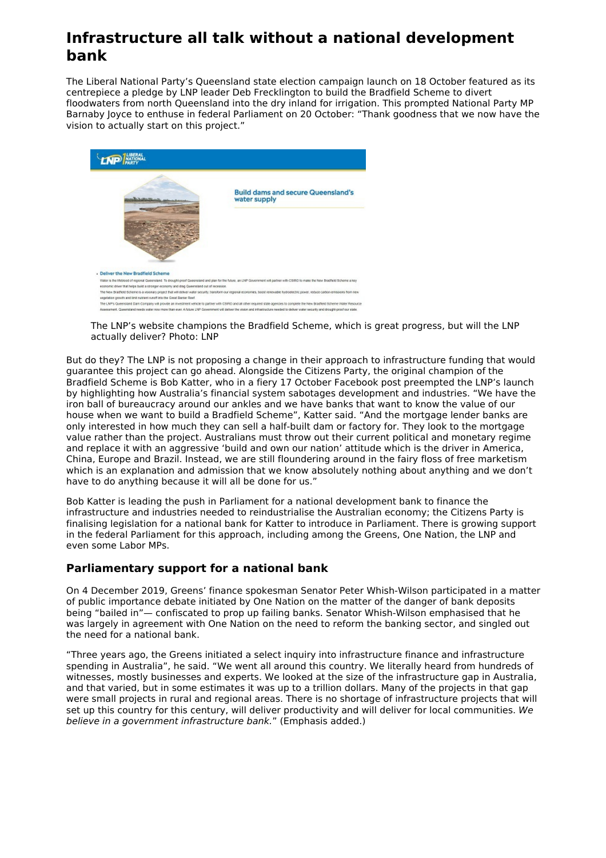## **Infrastructure all talk without a national development bank**

The Liberal National Party's Queensland state election campaign launch on 18 October featured as its centrepiece a pledge by LNP leader Deb Frecklington to build the Bradfield Scheme to divert floodwaters from north Queensland into the dry inland for irrigation. This prompted National Party MP Barnaby Joyce to enthuse in federal Parliament on 20 October: "Thank goodness that we now have the vision to actually start on this project."



The LNP's website champions the Bradfield Scheme, which is great progress, but will the LNP actually deliver? Photo: LNP

But do they? The LNP is not proposing a change in their approach to infrastructure funding that would guarantee this project can go ahead. Alongside the Citizens Party, the original champion of the Bradfield Scheme is Bob Katter, who in a fiery 17 October Facebook post preempted the LNP's launch by highlighting how Australia's financial system sabotages development and industries. "We have the iron ball of bureaucracy around our ankles and we have banks that want to know the value of our house when we want to build a Bradfield Scheme", Katter said. "And the mortgage lender banks are only interested in how much they can sell a half-built dam or factory for. They look to the mortgage value rather than the project. Australians must throw out their current political and monetary regime and replace it with an aggressive 'build and own our nation' attitude which is the driver in America, China, Europe and Brazil. Instead, we are still floundering around in the fairy floss of free marketism which is an explanation and admission that we know absolutely nothing about anything and we don't have to do anything because it will all be done for us."

Bob Katter is leading the push in Parliament for a national development bank to finance the infrastructure and industries needed to reindustrialise the Australian economy; the Citizens Party is finalising legislation for a national bank for Katter to introduce in Parliament. There is growing support in the federal Parliament for this approach, including among the Greens, One Nation, the LNP and even some Labor MPs.

## **Parliamentary support for a national bank**

On 4 December 2019, Greens' finance spokesman Senator Peter Whish-Wilson participated in a matter of public importance debate initiated by One Nation on the matter of the danger of bank deposits being "bailed in"— confiscated to prop up failing banks. Senator Whish-Wilson emphasised that he was largely in agreement with One Nation on the need to reform the banking sector, and singled out the need for a national bank.

"Three years ago, the Greens initiated a select inquiry into infrastructure finance and infrastructure spending in Australia", he said. "We went all around this country. We literally heard from hundreds of witnesses, mostly businesses and experts. We looked at the size of the infrastructure gap in Australia, and that varied, but in some estimates it was up to a trillion dollars. Many of the projects in that gap were small projects in rural and regional areas. There is no shortage of infrastructure projects that will set up this country for this century, will deliver productivity and will deliver for local communities. We believe in a government infrastructure bank." (Emphasis added.)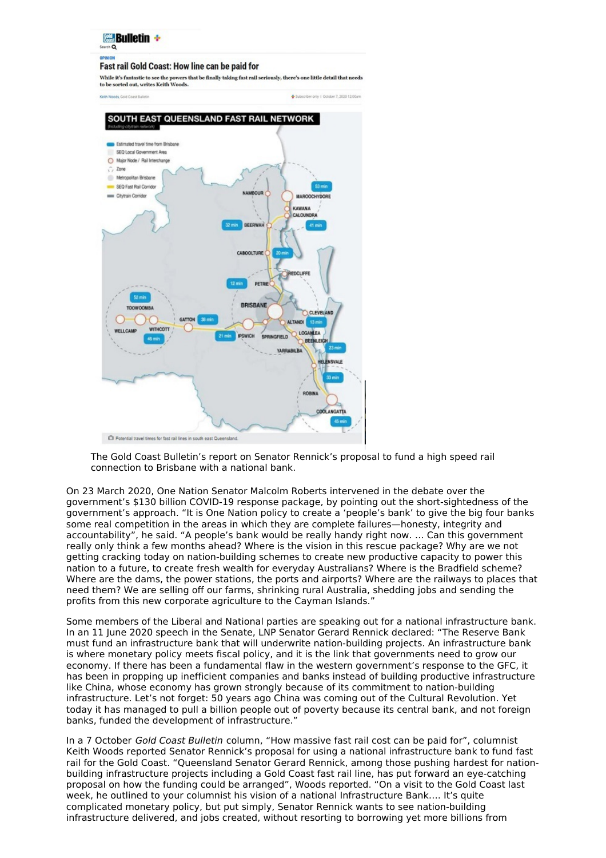

The Gold Coast Bulletin's report on Senator Rennick's proposal to fund a high speed rail connection to Brisbane with a national bank.

On 23 March 2020, One Nation Senator Malcolm Roberts intervened in the debate over the government's \$130 billion COVID-19 response package, by pointing out the short-sightedness of the government's approach. "It is One Nation policy to create a 'people's bank' to give the big four banks some real competition in the areas in which they are complete failures—honesty, integrity and accountability", he said. "A people's bank would be really handy right now. … Can this government really only think a few months ahead? Where is the vision in this rescue package? Why are we not getting cracking today on nation-building schemes to create new productive capacity to power this nation to a future, to create fresh wealth for everyday Australians? Where is the Bradfield scheme? Where are the dams, the power stations, the ports and airports? Where are the railways to places that need them? We are selling off our farms, shrinking rural Australia, shedding jobs and sending the profits from this new corporate agriculture to the Cayman Islands."

Some members of the Liberal and National parties are speaking out for a national infrastructure bank. In an 11 June 2020 speech in the Senate, LNP Senator Gerard Rennick declared: "The Reserve Bank must fund an infrastructure bank that will underwrite nation-building projects. An infrastructure bank is where monetary policy meets fiscal policy, and it is the link that governments need to grow our economy. If there has been a fundamental flaw in the western government's response to the GFC, it has been in propping up inefficient companies and banks instead of building productive infrastructure like China, whose economy has grown strongly because of its commitment to nation-building infrastructure. Let's not forget: 50 years ago China was coming out of the Cultural Revolution. Yet today it has managed to pull a billion people out of poverty because its central bank, and not foreign banks, funded the development of infrastructure."

In a 7 October Gold Coast Bulletin column, "How massive fast rail cost can be paid for", columnist Keith Woods reported Senator Rennick's proposal for using a national infrastructure bank to fund fast rail for the Gold Coast. "Queensland Senator Gerard Rennick, among those pushing hardest for nationbuilding infrastructure projects including a Gold Coast fast rail line, has put forward an eye-catching proposal on how the funding could be arranged", Woods reported. "On a visit to the Gold Coast last week, he outlined to your columnist his vision of a national Infrastructure Bank…. It's quite complicated monetary policy, but put simply, Senator Rennick wants to see nation-building infrastructure delivered, and jobs created, without resorting to borrowing yet more billions from